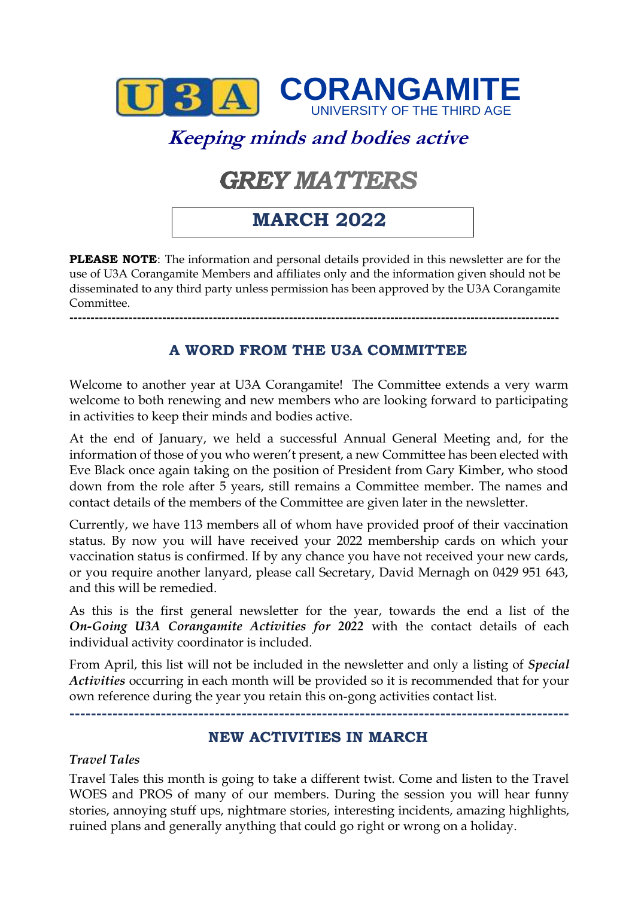

# **Keeping minds and bodies active**

# **GREY MATTERS**

# **MARCH 2022**

**PLEASE NOTE**: The information and personal details provided in this newsletter are for the use of U3A Corangamite Members and affiliates only and the information given should not be disseminated to any third party unless permission has been approved by the U3A Corangamite Committee.

**A WORD FROM THE U3A COMMITTEE**

**--------------------------------------------------------------------------------------------------------------------**

Welcome to another year at U3A Corangamite! The Committee extends a very warm welcome to both renewing and new members who are looking forward to participating in activities to keep their minds and bodies active.

At the end of January, we held a successful Annual General Meeting and, for the information of those of you who weren't present, a new Committee has been elected with Eve Black once again taking on the position of President from Gary Kimber, who stood down from the role after 5 years, still remains a Committee member. The names and contact details of the members of the Committee are given later in the newsletter.

Currently, we have 113 members all of whom have provided proof of their vaccination status. By now you will have received your 2022 membership cards on which your vaccination status is confirmed. If by any chance you have not received your new cards, or you require another lanyard, please call Secretary, David Mernagh on 0429 951 643, and this will be remedied.

As this is the first general newsletter for the year, towards the end a list of the *On-Going U3A Corangamite Activities for 2022* with the contact details of each individual activity coordinator is included.

From April, this list will not be included in the newsletter and only a listing of *Special Activities* occurring in each month will be provided so it is recommended that for your own reference during the year you retain this on-gong activities contact list.

**---------------------------------------------------------------------------------------------**

#### **NEW ACTIVITIES IN MARCH**

#### *Travel Tales*

Travel Tales this month is going to take a different twist. Come and listen to the Travel WOES and PROS of many of our members. During the session you will hear funny stories, annoying stuff ups, nightmare stories, interesting incidents, amazing highlights, ruined plans and generally anything that could go right or wrong on a holiday.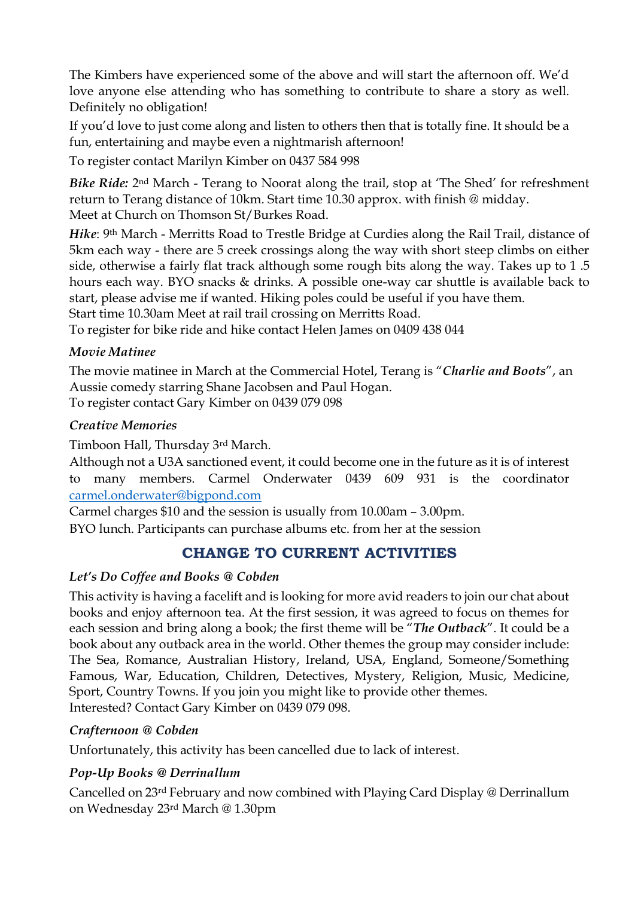The Kimbers have experienced some of the above and will start the afternoon off. We'd love anyone else attending who has something to contribute to share a story as well. Definitely no obligation!

If you'd love to just come along and listen to others then that is totally fine. It should be a fun, entertaining and maybe even a nightmarish afternoon!

To register contact Marilyn Kimber on 0437 584 998

*Bike Ride:* 2nd March - Terang to Noorat along the trail, stop at 'The Shed' for refreshment return to Terang distance of 10km. Start time 10.30 approx. with finish @ midday. Meet at Church on Thomson St/Burkes Road.

*Hike*: 9<sup>th</sup> March - Merritts Road to Trestle Bridge at Curdies along the Rail Trail, distance of 5km each way - there are 5 creek crossings along the way with short steep climbs on either side, otherwise a fairly flat track although some rough bits along the way. Takes up to 1 .5 hours each way. BYO snacks & drinks. A possible one-way car shuttle is available back to start, please advise me if wanted. Hiking poles could be useful if you have them. Start time 10.30am Meet at rail trail crossing on Merritts Road.

To register for bike ride and hike contact Helen James on 0409 438 044

#### *Movie Matinee*

The movie matinee in March at the Commercial Hotel, Terang is "*Charlie and Boots*", an Aussie comedy starring Shane Jacobsen and Paul Hogan.

To register contact Gary Kimber on 0439 079 098

#### *Creative Memories*

Timboon Hall, Thursday 3rd March.

Although not a U3A sanctioned event, it could become one in the future as it is of interest to many members. Carmel Onderwater 0439 609 931 is the coordinator [carmel.onderwater@bigpond.com](mailto:carmel.onderwater@bigpond.com) 

Carmel charges \$10 and the session is usually from 10.00am – 3.00pm.

BYO lunch. Participants can purchase albums etc. from her at the session

# **CHANGE TO CURRENT ACTIVITIES**

#### *Let's Do Coffee and Books @ Cobden*

This activity is having a facelift and is looking for more avid readers to join our chat about books and enjoy afternoon tea. At the first session, it was agreed to focus on themes for each session and bring along a book; the first theme will be "*The Outback*". It could be a book about any outback area in the world. Other themes the group may consider include: The Sea, Romance, Australian History, Ireland, USA, England, Someone/Something Famous, War, Education, Children, Detectives, Mystery, Religion, Music, Medicine, Sport, Country Towns. If you join you might like to provide other themes. Interested? Contact Gary Kimber on 0439 079 098.

#### *Crafternoon @ Cobden*

Unfortunately, this activity has been cancelled due to lack of interest.

#### *Pop-Up Books @ Derrinallum*

Cancelled on 23rd February and now combined with Playing Card Display @ Derrinallum on Wednesday 23rd March @ 1.30pm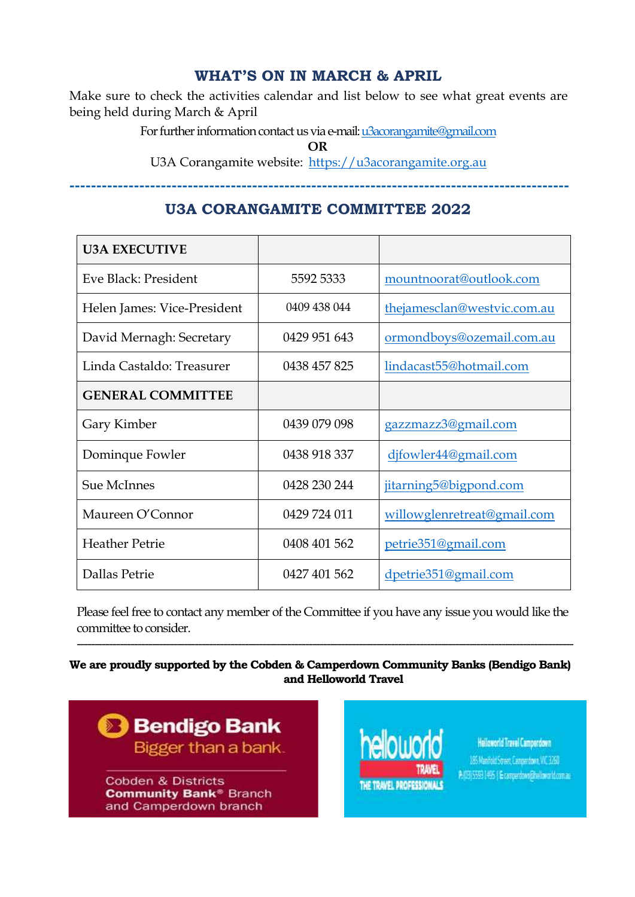#### **WHAT'S ON IN MARCH & APRIL**

Make sure to check the activities calendar and list below to see what great events are being held during March & April

For further information contact us via e-mail[: u3acorangamite@gmail.com](mailto:u3acorangamite@gmail.com)

**OR**

U3A Corangamite website: [https://u3acorangamite.org.au](https://u3acorangamite.org.au/)

**---------------------------------------------------------------------------------------------** 

### **U3A CORANGAMITE COMMITTEE 2022**

| <b>U3A EXECUTIVE</b>        |              |                             |
|-----------------------------|--------------|-----------------------------|
| Eve Black: President        | 5592 5333    | mountnoorat@outlook.com     |
| Helen James: Vice-President | 0409 438 044 | thejamesclan@westvic.com.au |
| David Mernagh: Secretary    | 0429 951 643 | ormondboys@ozemail.com.au   |
| Linda Castaldo: Treasurer   | 0438 457 825 | lindacast55@hotmail.com     |
| <b>GENERAL COMMITTEE</b>    |              |                             |
| Gary Kimber                 | 0439 079 098 | gazzmazz3@gmail.com         |
| Dominque Fowler             | 0438 918 337 | djfowler44@gmail.com        |
| <b>Sue McInnes</b>          | 0428 230 244 | jitarning5@bigpond.com      |
| Maureen O'Connor            | 0429 724 011 | willowglenretreat@gmail.com |
| <b>Heather Petrie</b>       | 0408 401 562 | petrie351@gmail.com         |
| Dallas Petrie               | 0427 401 562 | dpetrie351@gmail.com        |

Please feel free to contact any member of the Committee if you have any issue you would like the committee to consider.

-------------------------------------------------------------------------------------------------------------------------------------------

#### **We are proudly supported by the Cobden & Camperdown Community Banks (Bendigo Bank) and Helloworld Travel**



**Community Bank® Branch** and Camperdown branch



**Helloworld Travel Camperdown** 185 Manfold Street Campachan WC 1260 A (33) 5593 1495 | Examperdown@heloworld.com.as |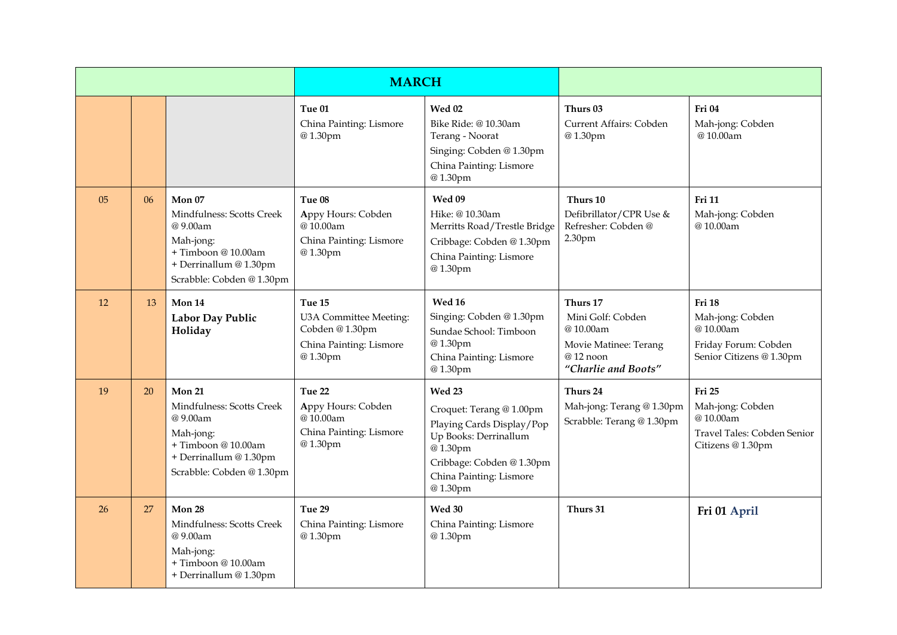|    |    |                                                                                                                                        | <b>MARCH</b>                                                                             |                                                                                                                                                                        |                                                                                                       |                                                                                            |
|----|----|----------------------------------------------------------------------------------------------------------------------------------------|------------------------------------------------------------------------------------------|------------------------------------------------------------------------------------------------------------------------------------------------------------------------|-------------------------------------------------------------------------------------------------------|--------------------------------------------------------------------------------------------|
|    |    |                                                                                                                                        | Tue 01<br>China Painting: Lismore<br>@1.30pm                                             | Wed 02<br>Bike Ride: @ 10.30am<br>Terang - Noorat<br>Singing: Cobden @ 1.30pm<br>China Painting: Lismore<br>@1.30pm                                                    | Thurs 03<br>Current Affairs: Cobden<br>@1.30pm                                                        | Fri 04<br>Mah-jong: Cobden<br>@10.00am                                                     |
| 05 | 06 | Mon 07<br>Mindfulness: Scotts Creek<br>@9.00am<br>Mah-jong:<br>+Timboon@10.00am<br>+ Derrinallum @ 1.30pm<br>Scrabble: Cobden @ 1.30pm | Tue 08<br>Appy Hours: Cobden<br>@10.00am<br>China Painting: Lismore<br>@1.30pm           | Wed 09<br>Hike: @10.30am<br>Merritts Road/Trestle Bridge<br>Cribbage: Cobden @ 1.30pm<br>China Painting: Lismore<br>@1.30pm                                            | Thurs 10<br>Defibrillator/CPR Use &<br>Refresher: Cobden@<br>2.30 <sub>pm</sub>                       | <b>Fri 11</b><br>Mah-jong: Cobden<br>@10.00am                                              |
| 12 | 13 | Mon 14<br>Labor Day Public<br>Holiday                                                                                                  | Tue 15<br>U3A Committee Meeting:<br>Cobden @1.30pm<br>China Painting: Lismore<br>@1.30pm | <b>Wed 16</b><br>Singing: Cobden @1.30pm<br>Sundae School: Timboon<br>@1.30pm<br>China Painting: Lismore<br>@1.30pm                                                    | Thurs 17<br>Mini Golf: Cobden<br>@10.00am<br>Movie Matinee: Terang<br>@12 noon<br>"Charlie and Boots" | Fri 18<br>Mah-jong: Cobden<br>@10.00am<br>Friday Forum: Cobden<br>Senior Citizens @ 1.30pm |
| 19 | 20 | Mon 21<br>Mindfulness: Scotts Creek<br>@9.00am<br>Mah-jong:<br>+Timboon@10.00am<br>+ Derrinallum @ 1.30pm<br>Scrabble: Cobden @ 1.30pm | Tue 22<br>Appy Hours: Cobden<br>@10.00am<br>China Painting: Lismore<br>@1.30pm           | Wed 23<br>Croquet: Terang @ 1.00pm<br>Playing Cards Display/Pop<br>Up Books: Derrinallum<br>@1.30pm<br>Cribbage: Cobden @ 1.30pm<br>China Painting: Lismore<br>@1.30pm | Thurs 24<br>Mah-jong: Terang @ 1.30pm<br>Scrabble: Terang @ 1.30pm                                    | Fri 25<br>Mah-jong: Cobden<br>@10.00am<br>Travel Tales: Cobden Senior<br>Citizens @ 1.30pm |
| 26 | 27 | Mon 28<br>Mindfulness: Scotts Creek<br>@9.00am<br>Mah-jong:<br>+Timboon@10.00am<br>+ Derrinallum @ 1.30pm                              | Tue 29<br>China Painting: Lismore<br>@1.30pm                                             | Wed 30<br>China Painting: Lismore<br>@1.30pm                                                                                                                           | Thurs 31                                                                                              | Fri 01 April                                                                               |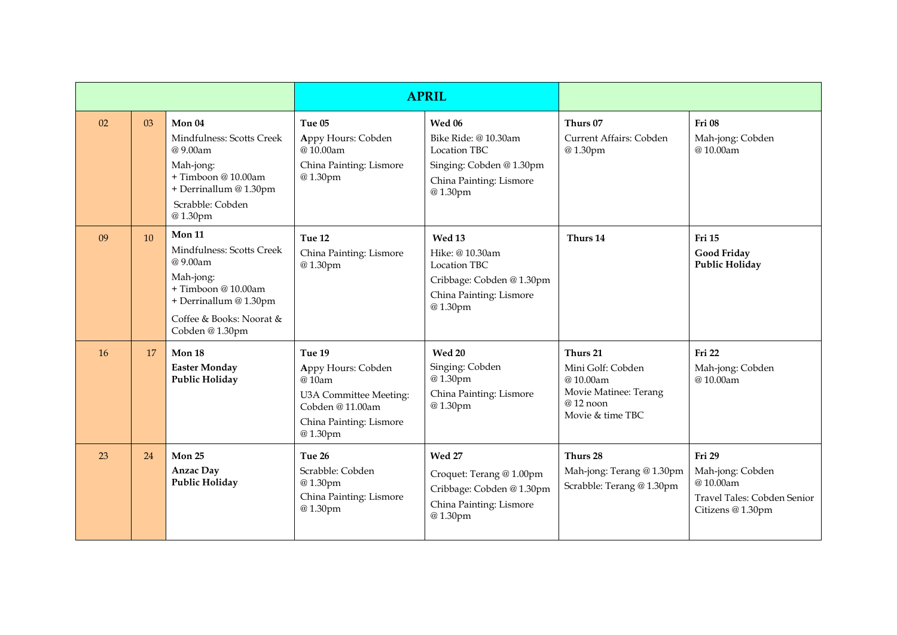|    |    |                                                                                                                                                             | <b>APRIL</b>                                                                                                             |                                                                                                                     |                                                                                                    |                                                                                            |
|----|----|-------------------------------------------------------------------------------------------------------------------------------------------------------------|--------------------------------------------------------------------------------------------------------------------------|---------------------------------------------------------------------------------------------------------------------|----------------------------------------------------------------------------------------------------|--------------------------------------------------------------------------------------------|
| 02 | 03 | Mon 04<br>Mindfulness: Scotts Creek<br>@9.00am<br>Mah-jong:<br>+ Timboon @ 10.00am<br>+ Derrinallum @ 1.30pm<br>Scrabble: Cobden<br>@1.30pm                 | Tue 05<br>Appy Hours: Cobden<br>@10.00am<br>China Painting: Lismore<br>@1.30pm                                           | Wed 06<br>Bike Ride: @ 10.30am<br>Location TBC<br>Singing: Cobden @ 1.30pm<br>China Painting: Lismore<br>@1.30pm    | Thurs 07<br>Current Affairs: Cobden<br>@1.30pm                                                     | Fri 08<br>Mah-jong: Cobden<br>@10.00am                                                     |
| 09 | 10 | Mon 11<br>Mindfulness: Scotts Creek<br>@ 9.00am<br>Mah-jong:<br>+ Timboon @ 10.00am<br>+ Derrinallum @ 1.30pm<br>Coffee & Books: Noorat &<br>Cobden @1.30pm | Tue 12<br>China Painting: Lismore<br>@1.30pm                                                                             | Wed 13<br>Hike: @ 10.30am<br><b>Location TBC</b><br>Cribbage: Cobden @ 1.30pm<br>China Painting: Lismore<br>@1.30pm | Thurs 14                                                                                           | Fri 15<br><b>Good Friday</b><br><b>Public Holiday</b>                                      |
| 16 | 17 | Mon 18<br><b>Easter Monday</b><br><b>Public Holiday</b>                                                                                                     | Tue 19<br>Appy Hours: Cobden<br>@10am<br>U3A Committee Meeting:<br>Cobden @11.00am<br>China Painting: Lismore<br>@1.30pm | <b>Wed 20</b><br>Singing: Cobden<br>@1.30pm<br>China Painting: Lismore<br>@1.30pm                                   | Thurs 21<br>Mini Golf: Cobden<br>@10.00am<br>Movie Matinee: Terang<br>@12 noon<br>Movie & time TBC | Fri 22<br>Mah-jong: Cobden<br>@10.00am                                                     |
| 23 | 24 | Mon 25<br><b>Anzac Day</b><br><b>Public Holiday</b>                                                                                                         | Tue 26<br>Scrabble: Cobden<br>@1.30pm<br>China Painting: Lismore<br>@1.30pm                                              | <b>Wed 27</b><br>Croquet: Terang @ 1.00pm<br>Cribbage: Cobden @ 1.30pm<br>China Painting: Lismore<br>@1.30pm        | Thurs 28<br>Mah-jong: Terang @ 1.30pm<br>Scrabble: Terang @ 1.30pm                                 | Fri 29<br>Mah-jong: Cobden<br>@10.00am<br>Travel Tales: Cobden Senior<br>Citizens @ 1.30pm |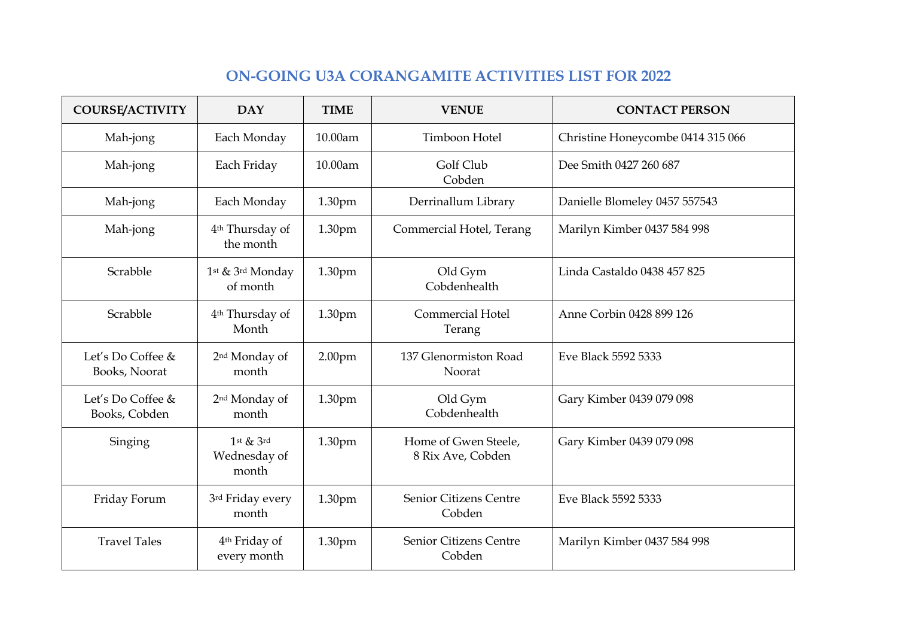# **ON-GOING U3A CORANGAMITE ACTIVITIES LIST FOR 2022**

| <b>COURSE/ACTIVITY</b>             | <b>DAY</b>                               | <b>TIME</b>        | <b>VENUE</b>                              | <b>CONTACT PERSON</b>             |  |
|------------------------------------|------------------------------------------|--------------------|-------------------------------------------|-----------------------------------|--|
| Mah-jong                           | Each Monday                              | 10.00am            | Timboon Hotel                             | Christine Honeycombe 0414 315 066 |  |
| Mah-jong                           | Each Friday                              | 10.00am            | Golf Club<br>Cobden                       | Dee Smith 0427 260 687            |  |
| Mah-jong                           | Each Monday                              | 1.30pm             | Derrinallum Library                       | Danielle Blomeley 0457 557543     |  |
| Mah-jong                           | 4 <sup>th</sup> Thursday of<br>the month | 1.30pm             | Commercial Hotel, Terang                  | Marilyn Kimber 0437 584 998       |  |
| Scrabble                           | 1st & 3rd Monday<br>of month             | 1.30pm             | Old Gym<br>Cobdenhealth                   | Linda Castaldo 0438 457 825       |  |
| Scrabble                           | 4 <sup>th</sup> Thursday of<br>Month     | 1.30pm             | <b>Commercial Hotel</b><br>Terang         | Anne Corbin 0428 899 126          |  |
| Let's Do Coffee &<br>Books, Noorat | 2 <sup>nd</sup> Monday of<br>month       | 2.00 <sub>pm</sub> | 137 Glenormiston Road<br>Noorat           | Eve Black 5592 5333               |  |
| Let's Do Coffee &<br>Books, Cobden | 2 <sup>nd</sup> Monday of<br>month       | 1.30pm             | Old Gym<br>Cobdenhealth                   | Gary Kimber 0439 079 098          |  |
| Singing                            | $1$ st & $3$ rd<br>Wednesday of<br>month | 1.30pm             | Home of Gwen Steele,<br>8 Rix Ave, Cobden | Gary Kimber 0439 079 098          |  |
| Friday Forum                       | 3rd Friday every<br>month                | 1.30pm             | Senior Citizens Centre<br>Cobden          | Eve Black 5592 5333               |  |
| <b>Travel Tales</b>                | 4 <sup>th</sup> Friday of<br>every month | 1.30pm             | Senior Citizens Centre<br>Cobden          | Marilyn Kimber 0437 584 998       |  |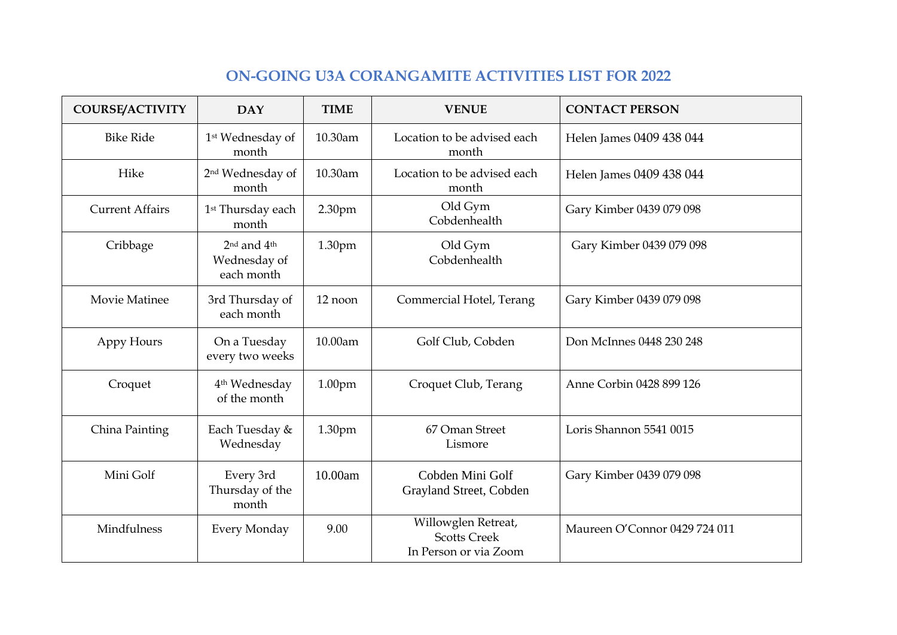# **ON-GOING U3A CORANGAMITE ACTIVITIES LIST FOR 2022**

| <b>COURSE/ACTIVITY</b> | <b>DAY</b>                                                        | <b>TIME</b>        | <b>VENUE</b>                                                        | <b>CONTACT PERSON</b>         |  |
|------------------------|-------------------------------------------------------------------|--------------------|---------------------------------------------------------------------|-------------------------------|--|
| <b>Bike Ride</b>       | 1st Wednesday of<br>month                                         | 10.30am            | Location to be advised each<br>month                                | Helen James 0409 438 044      |  |
| Hike                   | 2 <sup>nd</sup> Wednesday of<br>month                             | 10.30am            | Location to be advised each<br>month                                | Helen James 0409 438 044      |  |
| <b>Current Affairs</b> | 1 <sup>st</sup> Thursday each<br>month                            | 2.30pm             | Old Gym<br>Cobdenhealth                                             | Gary Kimber 0439 079 098      |  |
| Cribbage               | 2 <sup>nd</sup> and 4 <sup>th</sup><br>Wednesday of<br>each month | 1.30pm             | Old Gym<br>Cobdenhealth                                             | Gary Kimber 0439 079 098      |  |
| Movie Matinee          | 3rd Thursday of<br>each month                                     | 12 noon            | Commercial Hotel, Terang                                            | Gary Kimber 0439 079 098      |  |
| Appy Hours             | On a Tuesday<br>every two weeks                                   | 10.00am            | Golf Club, Cobden                                                   | Don McInnes 0448 230 248      |  |
| Croquet                | 4 <sup>th</sup> Wednesday<br>of the month                         | 1.00 <sub>pm</sub> | Croquet Club, Terang                                                | Anne Corbin 0428 899 126      |  |
| China Painting         | Each Tuesday &<br>Wednesday                                       | 1.30pm             | 67 Oman Street<br>Lismore                                           | Loris Shannon 5541 0015       |  |
| Mini Golf              | Every 3rd<br>Thursday of the<br>month                             | 10.00am            | Cobden Mini Golf<br>Grayland Street, Cobden                         | Gary Kimber 0439 079 098      |  |
| Mindfulness            | Every Monday                                                      | 9.00               | Willowglen Retreat,<br><b>Scotts Creek</b><br>In Person or via Zoom | Maureen O'Connor 0429 724 011 |  |